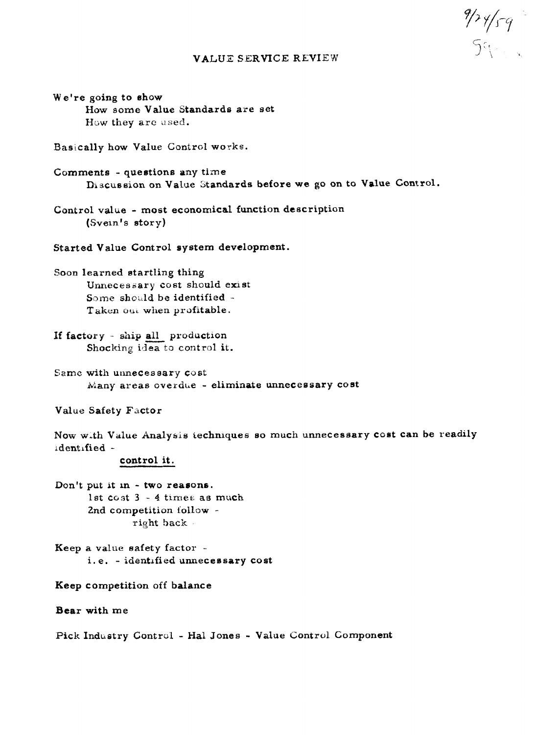## **VALUE SERVICE REVIEW**

 $\frac{9}{3}$ 

We're going to show How some Value Standards are set How they are used.

Basically how Value Control works.

Comments - questions any time Discussion on Value Standards before we go on to Value Control.

Control value - most economical function description (Svein's story)

Started Value Control system development.

Soon learned startling thing Unnecessary cost should exist Some should be identified -Taken out when profitable.

If factory - ship all production Shocking idea to control it.

Same with unnecessary cost Many areas overdue - eliminate unnecessary cost

Value Safety Factor

Now with Value Analysis techniques so much unnecessary cost can be readily identified -

# control it.

Don't put it in - two reasons. 1st cost 3 - 4 times as much 2nd competition follow right back

Keep a value safety factor i.e. - identified unnecessary cost

## Keep competition off balance

Bear with me

Pick Industry Control - Hal Jones - Value Control Component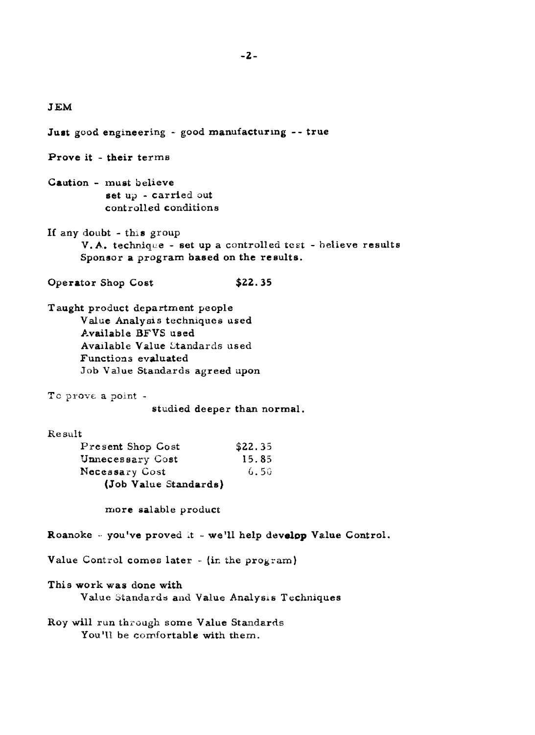# **JEM**

**Just good engineering** - **good manufacturmg** - - **true** 

**Prove it** - **their terms** 

- **Caution must believe set ui?** - **carried out controlled conditions**
- **If any doubt this group**   $V.A.$  **technique - set up a controlled test - believe results Sponsor a program based on the reaults.**
- **Operator Shop Cost \$22.35**
- **Taught product department people Value Analyois** techniques **used Available BFVS used Available Value Ztandards used Functions evaluated Job Value Standards agreed apon**
- Te prove a point -

studied deeper than normal.

### Result

| Present Shop Cost     | \$22.35 |
|-----------------------|---------|
| Unnecessary Cost      | 15.85   |
| Necessary Cost        | 6.50    |
| (Job Value Standards) |         |

**more salable product** 

**Roanoke** -- **you've proved .t** - **we'll help develep Value Control.** 

Value Control comes later - (in the program)

#### **This work was done with**

**Value btandards arid Value Analysis Techniques** 

 $R$ oy will run through some Value Standards **You'll be comfortable with them.**